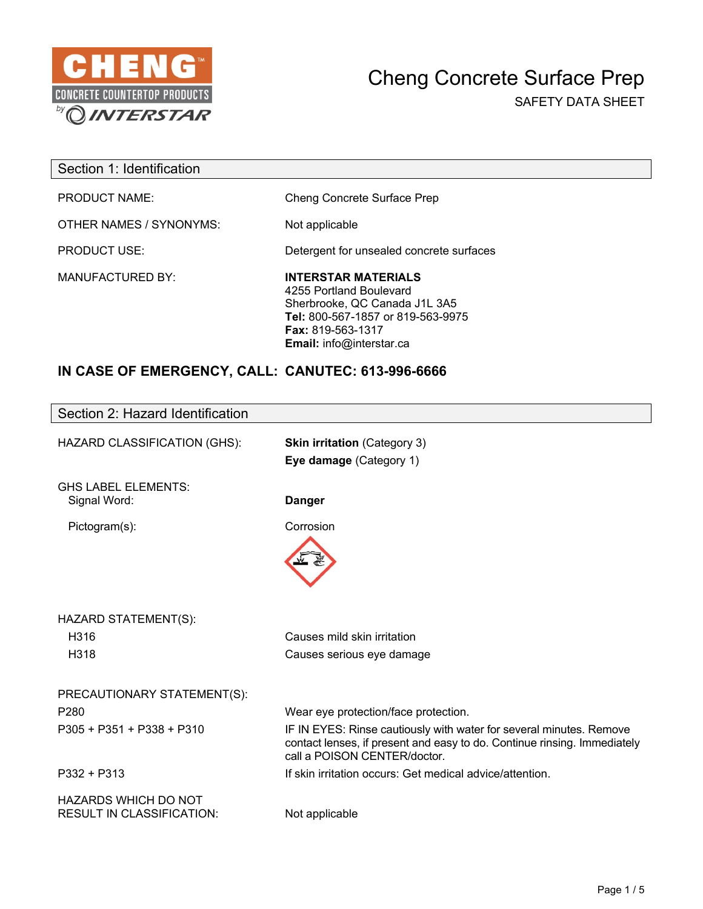

 $\overline{\phantom{a}}$ 

| Section 1: Identification |                                                                                                                                                                                            |
|---------------------------|--------------------------------------------------------------------------------------------------------------------------------------------------------------------------------------------|
| <b>PRODUCT NAME:</b>      | Cheng Concrete Surface Prep                                                                                                                                                                |
| OTHER NAMES / SYNONYMS:   | Not applicable                                                                                                                                                                             |
| <b>PRODUCT USE:</b>       | Detergent for unsealed concrete surfaces                                                                                                                                                   |
| <b>MANUFACTURED BY:</b>   | <b>INTERSTAR MATERIALS</b><br>4255 Portland Boulevard<br>Sherbrooke, QC Canada J1L 3A5<br>Tel: 800-567-1857 or 819-563-9975<br><b>Fax: 819-563-1317</b><br><b>Email:</b> info@interstar.ca |

## **IN CASE OF EMERGENCY, CALL: CANUTEC: 613-996-6666**

| Section 2: Hazard Identification                                |                                                                                                                                                                                 |
|-----------------------------------------------------------------|---------------------------------------------------------------------------------------------------------------------------------------------------------------------------------|
| HAZARD CLASSIFICATION (GHS):                                    | <b>Skin irritation</b> (Category 3)<br>Eye damage (Category 1)                                                                                                                  |
|                                                                 |                                                                                                                                                                                 |
| <b>GHS LABEL ELEMENTS:</b><br>Signal Word:                      | <b>Danger</b>                                                                                                                                                                   |
| Pictogram(s):                                                   | Corrosion                                                                                                                                                                       |
|                                                                 |                                                                                                                                                                                 |
| HAZARD STATEMENT(S):                                            |                                                                                                                                                                                 |
| H316                                                            | Causes mild skin irritation                                                                                                                                                     |
| H318                                                            | Causes serious eye damage                                                                                                                                                       |
| PRECAUTIONARY STATEMENT(S):                                     |                                                                                                                                                                                 |
| P <sub>280</sub>                                                | Wear eye protection/face protection.                                                                                                                                            |
| $P305 + P351 + P338 + P310$                                     | IF IN EYES: Rinse cautiously with water for several minutes. Remove<br>contact lenses, if present and easy to do. Continue rinsing. Immediately<br>call a POISON CENTER/doctor. |
| P332 + P313                                                     | If skin irritation occurs: Get medical advice/attention.                                                                                                                        |
| <b>HAZARDS WHICH DO NOT</b><br><b>RESULT IN CLASSIFICATION:</b> | Not applicable                                                                                                                                                                  |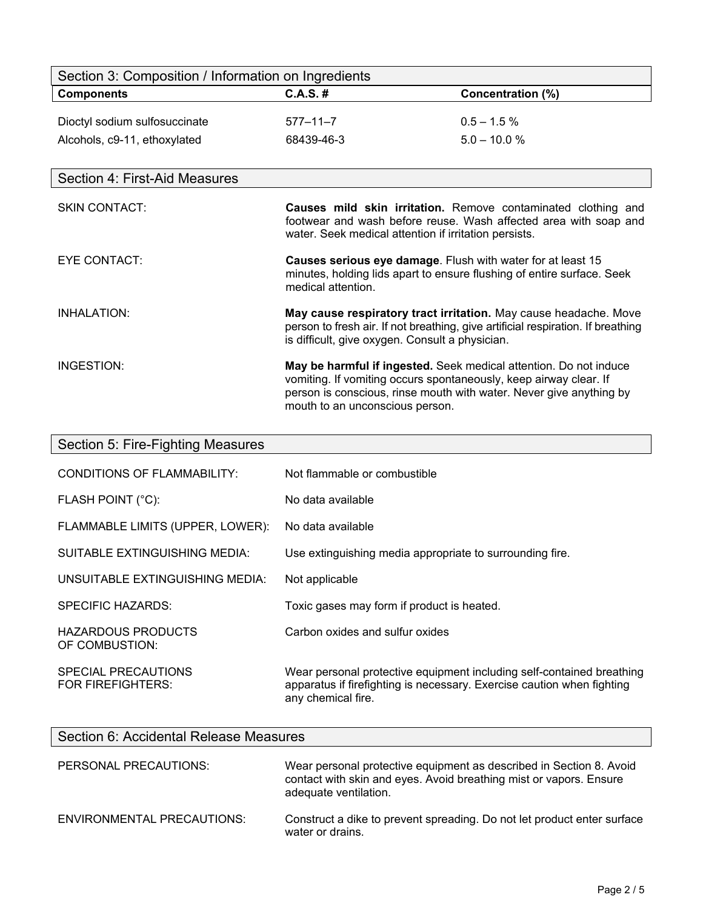| Section 3: Composition / Information on Ingredients |                                                                                                      |                                                                                                                                                      |
|-----------------------------------------------------|------------------------------------------------------------------------------------------------------|------------------------------------------------------------------------------------------------------------------------------------------------------|
| <b>Components</b>                                   | $C.A.S.$ #                                                                                           | <b>Concentration (%)</b>                                                                                                                             |
| Dioctyl sodium sulfosuccinate                       | $577 - 11 - 7$                                                                                       | $0.5 - 1.5 \%$                                                                                                                                       |
| Alcohols, c9-11, ethoxylated                        | 68439-46-3                                                                                           | $5.0 - 10.0 %$                                                                                                                                       |
|                                                     |                                                                                                      |                                                                                                                                                      |
| Section 4: First-Aid Measures                       |                                                                                                      |                                                                                                                                                      |
| <b>SKIN CONTACT:</b>                                | water. Seek medical attention if irritation persists.                                                | Causes mild skin irritation. Remove contaminated clothing and<br>footwear and wash before reuse. Wash affected area with soap and                    |
| <b>EYE CONTACT:</b>                                 | Causes serious eye damage. Flush with water for at least 15<br>medical attention.                    | minutes, holding lids apart to ensure flushing of entire surface. Seek                                                                               |
| <b>INHALATION:</b>                                  | is difficult, give oxygen. Consult a physician.                                                      | May cause respiratory tract irritation. May cause headache. Move<br>person to fresh air. If not breathing, give artificial respiration. If breathing |
| INGESTION:                                          | vomiting. If vomiting occurs spontaneously, keep airway clear. If<br>mouth to an unconscious person. | May be harmful if ingested. Seek medical attention. Do not induce<br>person is conscious, rinse mouth with water. Never give anything by             |
| Cootian E. Fire Fighting Meagures                   |                                                                                                      |                                                                                                                                                      |

| Section 5: Fire-Fighting Measures               |                                                                                                                                                                       |
|-------------------------------------------------|-----------------------------------------------------------------------------------------------------------------------------------------------------------------------|
| CONDITIONS OF FLAMMABILITY:                     | Not flammable or combustible                                                                                                                                          |
| FLASH POINT (°C):                               | No data available                                                                                                                                                     |
| FLAMMABLE LIMITS (UPPER, LOWER):                | No data available                                                                                                                                                     |
| SUITABLE EXTINGUISHING MEDIA:                   | Use extinguishing media appropriate to surrounding fire.                                                                                                              |
| UNSUITABLE EXTINGUISHING MEDIA:                 | Not applicable                                                                                                                                                        |
| SPECIFIC HAZARDS:                               | Toxic gases may form if product is heated.                                                                                                                            |
| HAZARDOUS PRODUCTS<br>OF COMBUSTION:            | Carbon oxides and sulfur oxides                                                                                                                                       |
| SPECIAL PRECAUTIONS<br><b>FOR FIREFIGHTERS:</b> | Wear personal protective equipment including self-contained breathing<br>apparatus if firefighting is necessary. Exercise caution when fighting<br>any chemical fire. |

| Section 6: Accidental Release Measures |                                                                                                                                                                    |  |
|----------------------------------------|--------------------------------------------------------------------------------------------------------------------------------------------------------------------|--|
| PERSONAL PRECAUTIONS:                  | Wear personal protective equipment as described in Section 8. Avoid<br>contact with skin and eyes. Avoid breathing mist or vapors. Ensure<br>adequate ventilation. |  |
| <b>ENVIRONMENTAL PRECAUTIONS:</b>      | Construct a dike to prevent spreading. Do not let product enter surface<br>water or drains.                                                                        |  |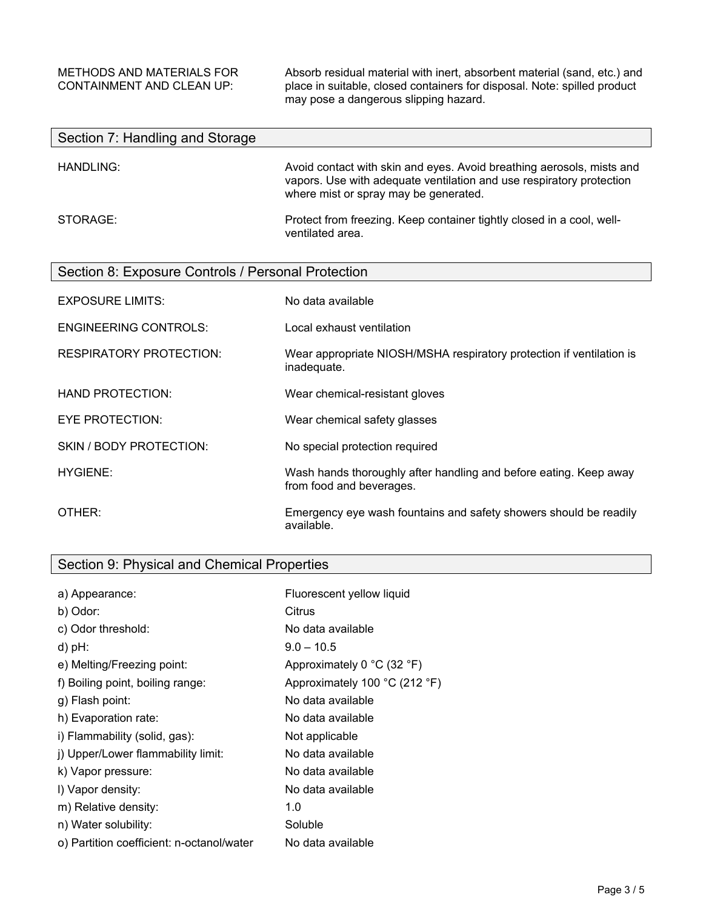$\overline{\phantom{a}}$ 

 $\mathsf{l}$ 

METHODS AND MATERIALS FOR Absorb residual material with inert, absorbent material (sand, etc.) and<br>CONTAINMENT AND CLEAN UP: place in suitable, closed containers for disposal. Note: spilled product place in suitable, closed containers for disposal. Note: spilled product may pose a dangerous slipping hazard.

| Section 7: Handling and Storage                    |                                                                                                                                                                                        |  |
|----------------------------------------------------|----------------------------------------------------------------------------------------------------------------------------------------------------------------------------------------|--|
| HANDLING:                                          | Avoid contact with skin and eyes. Avoid breathing aerosols, mists and<br>vapors. Use with adequate ventilation and use respiratory protection<br>where mist or spray may be generated. |  |
| STORAGE:                                           | Protect from freezing. Keep container tightly closed in a cool, well-<br>ventilated area.                                                                                              |  |
| Section 8: Exposure Controls / Personal Protection |                                                                                                                                                                                        |  |
| <b>EXPOSURE LIMITS:</b>                            | No data available                                                                                                                                                                      |  |
| <b>ENGINEERING CONTROLS:</b>                       | Local exhaust ventilation                                                                                                                                                              |  |
| <b>RESPIRATORY PROTECTION:</b>                     | Wear appropriate NIOSH/MSHA respiratory protection if ventilation is<br>inadequate.                                                                                                    |  |
| <b>HAND PROTECTION:</b>                            | Wear chemical-resistant gloves                                                                                                                                                         |  |
| EYE PROTECTION:                                    | Wear chemical safety glasses                                                                                                                                                           |  |
| SKIN / BODY PROTECTION:                            | No special protection required                                                                                                                                                         |  |
| <b>HYGIENE:</b>                                    | Wash hands thoroughly after handling and before eating. Keep away<br>from food and beverages.                                                                                          |  |
| OTHER:                                             | Emergency eye wash fountains and safety showers should be readily<br>available.                                                                                                        |  |

| Section 9: Physical and Chemical Properties |  |  |
|---------------------------------------------|--|--|
|                                             |  |  |

| a) Appearance:                            | Fluorescent yellow liquid                      |
|-------------------------------------------|------------------------------------------------|
| b) Odor:                                  | Citrus                                         |
| c) Odor threshold:                        | No data available                              |
| $d$ ) pH:                                 | $9.0 - 10.5$                                   |
| e) Melting/Freezing point:                | Approximately 0 $^{\circ}$ C (32 $^{\circ}$ F) |
| f) Boiling point, boiling range:          | Approximately 100 °C (212 °F)                  |
| g) Flash point:                           | No data available                              |
| h) Evaporation rate:                      | No data available                              |
| i) Flammability (solid, gas):             | Not applicable                                 |
| i) Upper/Lower flammability limit:        | No data available                              |
| k) Vapor pressure:                        | No data available                              |
| I) Vapor density:                         | No data available                              |
| m) Relative density:                      | 1.0                                            |
| n) Water solubility:                      | Soluble                                        |
| o) Partition coefficient: n-octanol/water | No data available                              |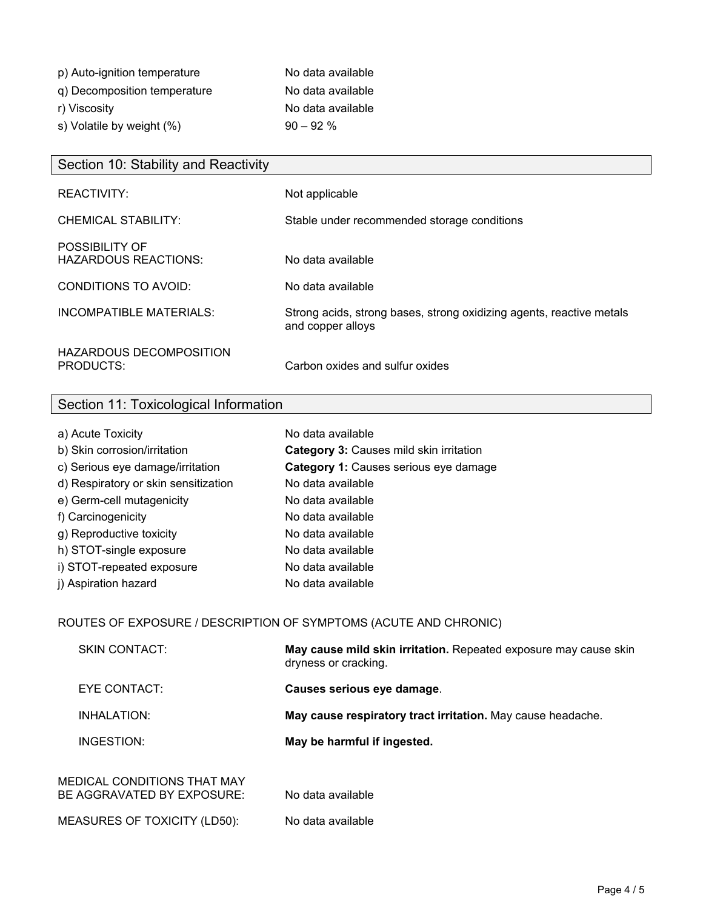| p) Auto-ignition temperature | No data available |
|------------------------------|-------------------|
| q) Decomposition temperature | No data available |
| r) Viscosity                 | No data available |
| s) Volatile by weight (%)    | $90 - 92%$        |

| Section 10: Stability and Reactivity          |                                                                                           |
|-----------------------------------------------|-------------------------------------------------------------------------------------------|
| REACTIVITY:                                   | Not applicable                                                                            |
| CHEMICAL STABILITY:                           | Stable under recommended storage conditions                                               |
| POSSIBILITY OF<br><b>HAZARDOUS REACTIONS:</b> | No data available                                                                         |
| CONDITIONS TO AVOID:                          | No data available                                                                         |
| INCOMPATIBLE MATERIALS:                       | Strong acids, strong bases, strong oxidizing agents, reactive metals<br>and copper alloys |
| HAZARDOUS DECOMPOSITION<br>PRODUCTS:          | Carbon oxides and sulfur oxides                                                           |

## Section 11: Toxicological Information

| a) Acute Toxicity                    | No data available                       |
|--------------------------------------|-----------------------------------------|
| b) Skin corrosion/irritation         | Category 3: Causes mild skin irritation |
| c) Serious eye damage/irritation     | Category 1: Causes serious eye damage   |
| d) Respiratory or skin sensitization | No data available                       |
| e) Germ-cell mutagenicity            | No data available                       |
| f) Carcinogenicity                   | No data available                       |
| g) Reproductive toxicity             | No data available                       |
| h) STOT-single exposure              | No data available                       |
| i) STOT-repeated exposure            | No data available                       |
| j) Aspiration hazard                 | No data available                       |

## ROUTES OF EXPOSURE / DESCRIPTION OF SYMPTOMS (ACUTE AND CHRONIC)

| <b>SKIN CONTACT:</b>                                      | May cause mild skin irritation. Repeated exposure may cause skin<br>dryness or cracking. |
|-----------------------------------------------------------|------------------------------------------------------------------------------------------|
| EYE CONTACT:                                              | Causes serious eye damage.                                                               |
| <b>INHALATION:</b>                                        | May cause respiratory tract irritation. May cause headache.                              |
| INGESTION:                                                | May be harmful if ingested.                                                              |
| MEDICAL CONDITIONS THAT MAY<br>BE AGGRAVATED BY EXPOSURE: | No data available                                                                        |
| <b>MEASURES OF TOXICITY (LD50):</b>                       | No data available                                                                        |